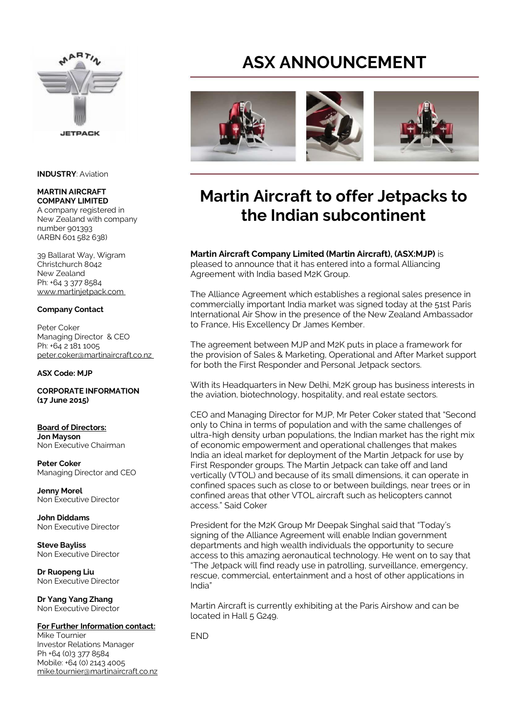

#### **INDUSTRY**: Aviation

#### **MARTIN AIRCRAFT COMPANY LIMITED**

A company registered in New Zealand with company number 901393 (ARBN 601 582 638)

39 Ballarat Way, Wigram Christchurch 8042 New Zealand Ph: +64 3 377 8584 www.martinjetpack.com

### **Company Contact**

Peter Coker Managing Director & CEO Ph: +64 2 181 1005 peter.coker@martinaircraft.co.nz

#### **ASX Code: MJP**

#### **CORPORATE INFORMATION (17 June 2015)**

**Board of Directors: Jon Mayson**  Non Executive Chairman

**Peter Coker**  Managing Director and CEO

**Jenny Morel**  Non Executive Director

**John Diddams**  Non Executive Director

**Steve Bayliss** Non Executive Director

**Dr Ruopeng Liu**  Non Executive Director

**Dr Yang Yang Zhang**  Non Executive Director

### **For Further Information contact:**

Mike Tournier Investor Relations Manager Ph +64 (0)3 377 8584 Mobile: +64 (0) 2143 4005 mike.tournier@martinaircraft.co.nz

# **ASX ANNOUNCEMENT**



# **Martin Aircraft to offer Jetpacks to the Indian subcontinent**

#### **Martin Aircraft Company Limited (Martin Aircraft), (ASX:MJP)** is pleased to announce that it has entered into a formal Alliancing Agreement with India based M2K Group.

The Alliance Agreement which establishes a regional sales presence in commercially important India market was signed today at the 51st Paris International Air Show in the presence of the New Zealand Ambassador to France, His Excellency Dr James Kember.

The agreement between MJP and M2K puts in place a framework for the provision of Sales & Marketing, Operational and After Market support for both the First Responder and Personal Jetpack sectors.

With its Headquarters in New Delhi, M2K group has business interests in the aviation, biotechnology, hospitality, and real estate sectors.

CEO and Managing Director for MJP, Mr Peter Coker stated that "Second only to China in terms of population and with the same challenges of ultra-high density urban populations, the Indian market has the right mix of economic empowerment and operational challenges that makes India an ideal market for deployment of the Martin Jetpack for use by First Responder groups. The Martin Jetpack can take off and land vertically (VTOL) and because of its small dimensions, it can operate in confined spaces such as close to or between buildings, near trees or in confined areas that other VTOL aircraft such as helicopters cannot access." Said Coker

President for the M2K Group Mr Deepak Singhal said that "Today's signing of the Alliance Agreement will enable Indian government departments and high wealth individuals the opportunity to secure access to this amazing aeronautical technology. He went on to say that "The Jetpack will find ready use in patrolling, surveillance, emergency, rescue, commercial, entertainment and a host of other applications in India"

Martin Aircraft is currently exhibiting at the Paris Airshow and can be located in Hall 5 G249.

END